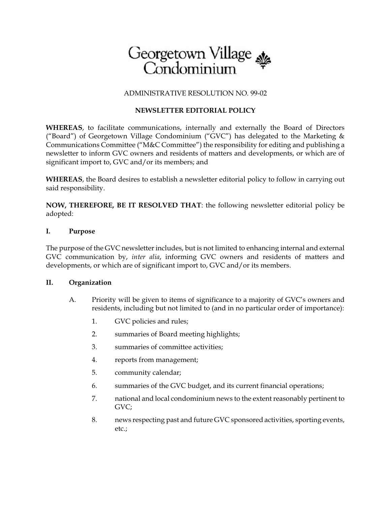

### ADMINISTRATIVE RESOLUTION NO. 99-02

# **NEWSLETTER EDITORIAL POLICY**

**WHEREAS**, to facilitate communications, internally and externally the Board of Directors ("Board") of Georgetown Village Condominium ("GVC") has delegated to the Marketing & Communications Committee ("M&C Committee") the responsibility for editing and publishing a newsletter to inform GVC owners and residents of matters and developments, or which are of significant import to, GVC and/or its members; and

**WHEREAS**, the Board desires to establish a newsletter editorial policy to follow in carrying out said responsibility.

**NOW, THEREFORE, BE IT RESOLVED THAT**: the following newsletter editorial policy be adopted:

#### **I. Purpose**

The purpose of the GVC newsletter includes, but is not limited to enhancing internal and external GVC communication by, *inter alia*, informing GVC owners and residents of matters and developments, or which are of significant import to, GVC and/or its members.

### **II. Organization**

- A. Priority will be given to items of significance to a majority of GVC's owners and residents, including but not limited to (and in no particular order of importance):
	- 1. GVC policies and rules;
	- 2. summaries of Board meeting highlights;
	- 3. summaries of committee activities;
	- 4. reports from management;
	- 5. community calendar;
	- 6. summaries of the GVC budget, and its current financial operations;
	- 7. national and local condominium news to the extent reasonably pertinent to GVC;
	- 8. news respecting past and future GVC sponsored activities, sporting events, etc.;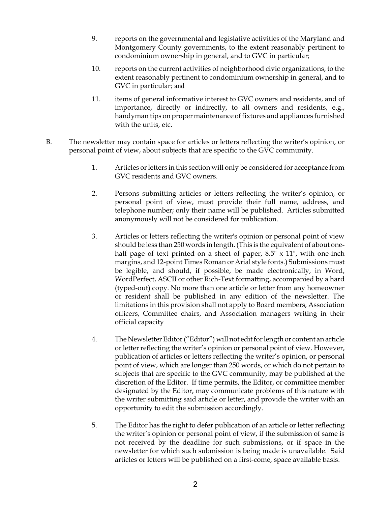- 9. reports on the governmental and legislative activities of the Maryland and Montgomery County governments, to the extent reasonably pertinent to condominium ownership in general, and to GVC in particular;
- 10. reports on the current activities of neighborhood civic organizations, to the extent reasonably pertinent to condominium ownership in general, and to GVC in particular; and
- 11. items of general informative interest to GVC owners and residents, and of importance, directly or indirectly, to all owners and residents, e.g., handyman tips on proper maintenance of fixtures and appliances furnished with the units, etc.
- B. The newsletter may contain space for articles or letters reflecting the writer's opinion, or personal point of view, about subjects that are specific to the GVC community.
	- 1. Articles or letters in this section will only be considered for acceptance from GVC residents and GVC owners.
	- 2. Persons submitting articles or letters reflecting the writer's opinion, or personal point of view, must provide their full name, address, and telephone number; only their name will be published. Articles submitted anonymously will not be considered for publication.
	- 3. Articles or letters reflecting the writer's opinion or personal point of view should be less than 250 words in length. (This is the equivalent of about onehalf page of text printed on a sheet of paper,  $8.5$ " x  $11$ ", with one-inch margins, and 12-point Times Roman or Arial style fonts.) Submissions must be legible, and should, if possible, be made electronically, in Word, WordPerfect, ASCII or other Rich-Text formatting, accompanied by a hard (typed-out) copy. No more than one article or letter from any homeowner or resident shall be published in any edition of the newsletter. The limitations in this provision shall not apply to Board members, Association officers, Committee chairs, and Association managers writing in their official capacity
	- 4. The Newsletter Editor ("Editor") will not edit for length or content an article or letter reflecting the writer's opinion or personal point of view. However, publication of articles or letters reflecting the writer's opinion, or personal point of view, which are longer than 250 words, or which do not pertain to subjects that are specific to the GVC community, may be published at the discretion of the Editor. If time permits, the Editor, or committee member designated by the Editor, may communicate problems of this nature with the writer submitting said article or letter, and provide the writer with an opportunity to edit the submission accordingly.
	- 5. The Editor has the right to defer publication of an article or letter reflecting the writer's opinion or personal point of view, if the submission of same is not received by the deadline for such submissions, or if space in the newsletter for which such submission is being made is unavailable. Said articles or letters will be published on a first-come, space available basis.